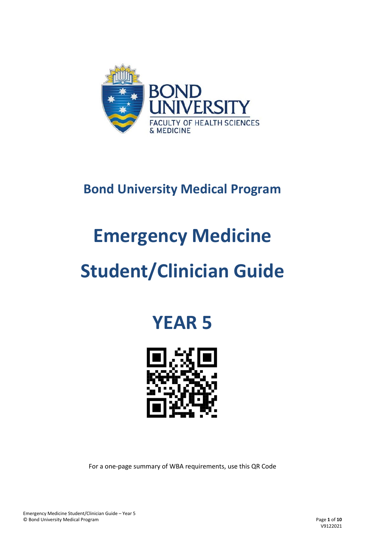

### **Bond University Medical Program**

# **Emergency Medicine**

## **Student/Clinician Guide**

### **YEAR 5**



For a one-page summary of WBA requirements, use this QR Code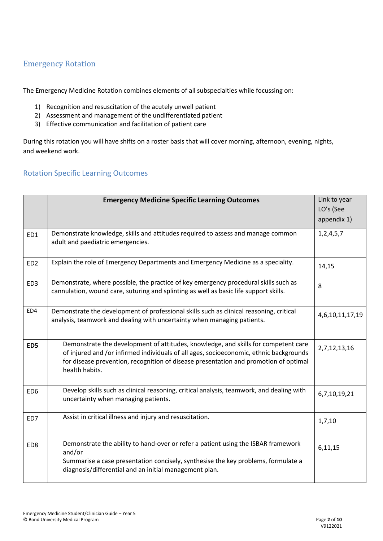#### Emergency Rotation

The Emergency Medicine Rotation combines elements of all subspecialties while focussing on:

- 1) Recognition and resuscitation of the acutely unwell patient
- 2) Assessment and management of the undifferentiated patient
- 3) Effective communication and facilitation of patient care

During this rotation you will have shifts on a roster basis that will cover morning, afternoon, evening, nights, and weekend work.

#### Rotation Specific Learning Outcomes

|                 | <b>Emergency Medicine Specific Learning Outcomes</b>                                                                                                                                                                                                                                   | Link to year<br>LO's (See |
|-----------------|----------------------------------------------------------------------------------------------------------------------------------------------------------------------------------------------------------------------------------------------------------------------------------------|---------------------------|
|                 |                                                                                                                                                                                                                                                                                        | appendix 1)               |
| ED1             | Demonstrate knowledge, skills and attitudes required to assess and manage common<br>adult and paediatric emergencies.                                                                                                                                                                  | 1, 2, 4, 5, 7             |
| ED <sub>2</sub> | Explain the role of Emergency Departments and Emergency Medicine as a speciality.                                                                                                                                                                                                      | 14,15                     |
| ED <sub>3</sub> | Demonstrate, where possible, the practice of key emergency procedural skills such as<br>cannulation, wound care, suturing and splinting as well as basic life support skills.                                                                                                          | 8                         |
| ED4             | Demonstrate the development of professional skills such as clinical reasoning, critical<br>analysis, teamwork and dealing with uncertainty when managing patients.                                                                                                                     | 4,6,10,11,17,19           |
| ED5             | Demonstrate the development of attitudes, knowledge, and skills for competent care<br>of injured and /or infirmed individuals of all ages, socioeconomic, ethnic backgrounds<br>for disease prevention, recognition of disease presentation and promotion of optimal<br>health habits. | 2,7,12,13,16              |
| ED <sub>6</sub> | Develop skills such as clinical reasoning, critical analysis, teamwork, and dealing with<br>uncertainty when managing patients.                                                                                                                                                        | 6,7,10,19,21              |
| ED7             | Assist in critical illness and injury and resuscitation.                                                                                                                                                                                                                               | 1,7,10                    |
| ED8             | Demonstrate the ability to hand-over or refer a patient using the ISBAR framework<br>and/or<br>Summarise a case presentation concisely, synthesise the key problems, formulate a<br>diagnosis/differential and an initial management plan.                                             | 6,11,15                   |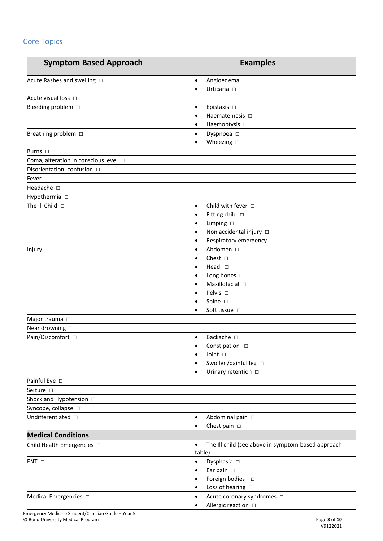### Core Topics

| <b>Symptom Based Approach</b>               | <b>Examples</b>                                                                                                                                                       |
|---------------------------------------------|-----------------------------------------------------------------------------------------------------------------------------------------------------------------------|
| Acute Rashes and swelling $\Box$            | Angioedema $\Box$<br>$\bullet$<br>Urticaria $\Box$                                                                                                                    |
| Acute visual loss $\Box$                    |                                                                                                                                                                       |
| Bleeding problem $\Box$                     | Epistaxis $\square$<br>Haematemesis $\Box$<br>Haemoptysis $\Box$                                                                                                      |
| Breathing problem $\square$                 | Dyspnoea $\square$<br>$\bullet$<br>Wheezing $\square$                                                                                                                 |
| Burns $\square$                             |                                                                                                                                                                       |
| Coma, alteration in conscious level $\Box$  |                                                                                                                                                                       |
| Disorientation, confusion $\square$         |                                                                                                                                                                       |
| Fever $\square$                             |                                                                                                                                                                       |
| Headache $\square$                          |                                                                                                                                                                       |
| Hypothermia $\square$                       |                                                                                                                                                                       |
| The III Child $\Box$                        | Child with fever $\Box$<br>$\bullet$<br>Fitting child □<br>Limping $\square$<br>Non accidental injury □<br>Respiratory emergency $\square$                            |
| Injury □                                    | Abdomen □<br>$\bullet$<br>Chest $\Box$<br>Head $\square$<br>Long bones $\square$<br>Maxillofacial $\square$<br>Pelvis $\Box$<br>Spine $\square$<br>Soft tissue $\Box$ |
| Major trauma D                              |                                                                                                                                                                       |
| Near drowning $\square$                     |                                                                                                                                                                       |
| Pain/Discomfort □                           | Backache $\square$<br>$\bullet$<br>Constipation $\Box$<br>Joint $\square$<br>Swollen/painful leg □<br>Urinary retention $\Box$                                        |
| Painful Eye □                               |                                                                                                                                                                       |
| Seizure D                                   |                                                                                                                                                                       |
| Shock and Hypotension $\square$             |                                                                                                                                                                       |
| Syncope, collapse $\square$                 |                                                                                                                                                                       |
| Undifferentiated $\square$                  | Abdominal pain □<br>$\bullet$<br>Chest pain $\square$                                                                                                                 |
| <b>Medical Conditions</b>                   |                                                                                                                                                                       |
| Child Health Emergencies D                  | The III child (see above in symptom-based approach<br>$\bullet$<br>table)                                                                                             |
| $ENT \Box$<br>Medical Emergencies $\square$ | Dysphasia $\square$<br>$\bullet$<br>Ear pain $\square$<br>Foreign bodies $\square$<br>Loss of hearing $\square$<br>٠<br>Acute coronary syndromes $\Box$               |
|                                             | Allergic reaction □                                                                                                                                                   |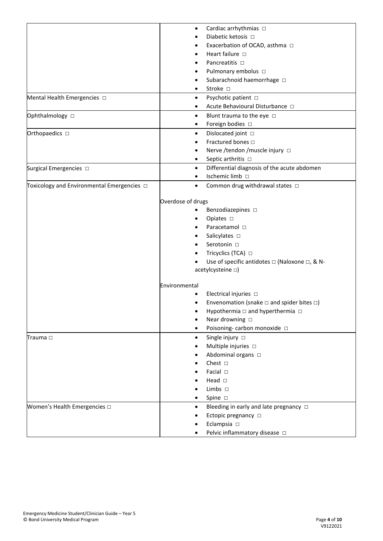|                                                 | $\bullet$              | Cardiac arrhythmias □                                       |
|-------------------------------------------------|------------------------|-------------------------------------------------------------|
|                                                 |                        | Diabetic ketosis $\Box$                                     |
|                                                 |                        | Exacerbation of OCAD, asthma □                              |
|                                                 |                        | Heart failure $\Box$                                        |
|                                                 |                        | Pancreatitis □                                              |
|                                                 |                        |                                                             |
|                                                 |                        | Pulmonary embolus □                                         |
|                                                 |                        | Subarachnoid haemorrhage $\Box$<br>Stroke $\square$         |
|                                                 |                        |                                                             |
| Mental Health Emergencies $\Box$                | $\bullet$<br>$\bullet$ | Psychotic patient □<br>Acute Behavioural Disturbance $\Box$ |
| Ophthalmology □                                 | $\bullet$              | Blunt trauma to the eye $\Box$                              |
|                                                 | ٠                      | Foreign bodies $\Box$                                       |
| Orthopaedics □                                  | $\bullet$              | Dislocated joint □                                          |
|                                                 |                        | Fractured bones $\Box$                                      |
|                                                 |                        | Nerve /tendon /muscle injury $\Box$                         |
|                                                 | $\bullet$              | Septic arthritis □                                          |
| Surgical Emergencies $\square$                  | $\bullet$              | Differential diagnosis of the acute abdomen                 |
|                                                 |                        | Ischemic limb □                                             |
| Toxicology and Environmental Emergencies $\Box$ | $\bullet$              | Common drug withdrawal states $\Box$                        |
|                                                 |                        |                                                             |
|                                                 | Overdose of drugs      |                                                             |
|                                                 |                        | Benzodiazepines $\square$                                   |
|                                                 |                        | Opiates $\square$                                           |
|                                                 |                        | Paracetamol □                                               |
|                                                 |                        | Salicylates $\square$                                       |
|                                                 |                        | Serotonin $\square$                                         |
|                                                 |                        | Tricyclics (TCA) □                                          |
|                                                 |                        | Use of specific antidotes □ (Naloxone □, & N-               |
|                                                 |                        | acetylcysteine [1]                                          |
|                                                 | Environmental          |                                                             |
|                                                 |                        | Electrical injuries $\Box$                                  |
|                                                 |                        | Envenomation (snake $\Box$ and spider bites $\Box$ )        |
|                                                 |                        | Hypothermia □ and hyperthermia □                            |
|                                                 |                        | Near drowning $\square$                                     |
|                                                 |                        | Poisoning-carbon monoxide $\Box$                            |
| Trauma $\Box$                                   | $\bullet$              | Single injury $\Box$                                        |
|                                                 |                        | Multiple injuries $\Box$                                    |
|                                                 |                        | Abdominal organs $\square$                                  |
|                                                 |                        | Chest $\Box$                                                |
|                                                 |                        | Facial $\square$                                            |
|                                                 |                        | Head $\square$                                              |
|                                                 |                        | Limbs $\Box$                                                |
|                                                 |                        | Spine $\square$                                             |
| Women's Health Emergencies $\square$            | $\bullet$              | Bleeding in early and late pregnancy $\Box$                 |
|                                                 |                        |                                                             |
|                                                 |                        | Ectopic pregnancy $\Box$                                    |
|                                                 |                        | Eclampsia $\Box$                                            |
|                                                 |                        | Pelvic inflammatory disease $\Box$                          |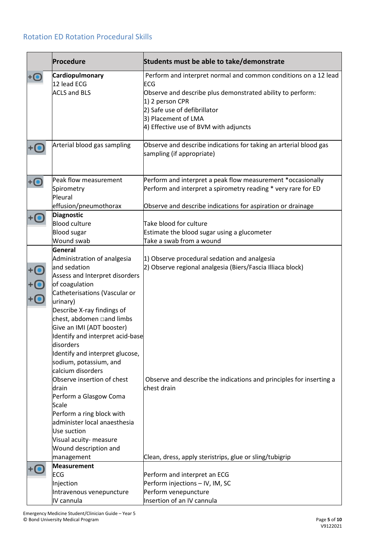#### Rotation ED Rotation Procedural Skills

|                                         | Procedure                                                                                                                                                                                                                                                                                                                                                                                                                                                                                                                                                                                  | Students must be able to take/demonstrate                                                                                                                                                                                                               |
|-----------------------------------------|--------------------------------------------------------------------------------------------------------------------------------------------------------------------------------------------------------------------------------------------------------------------------------------------------------------------------------------------------------------------------------------------------------------------------------------------------------------------------------------------------------------------------------------------------------------------------------------------|---------------------------------------------------------------------------------------------------------------------------------------------------------------------------------------------------------------------------------------------------------|
|                                         | Cardiopulmonary<br>12 lead ECG<br><b>ACLS and BLS</b>                                                                                                                                                                                                                                                                                                                                                                                                                                                                                                                                      | Perform and interpret normal and common conditions on a 12 lead<br>ECG<br>Observe and describe plus demonstrated ability to perform:<br>1) 2 person CPR<br>2) Safe use of defibrillator<br>3) Placement of LMA<br>4) Effective use of BVM with adjuncts |
|                                         | Arterial blood gas sampling                                                                                                                                                                                                                                                                                                                                                                                                                                                                                                                                                                | Observe and describe indications for taking an arterial blood gas<br>sampling (if appropriate)                                                                                                                                                          |
|                                         | Peak flow measurement<br>Spirometry<br>Pleural<br>effusion/pneumothorax                                                                                                                                                                                                                                                                                                                                                                                                                                                                                                                    | Perform and interpret a peak flow measurement *occasionally<br>Perform and interpret a spirometry reading * very rare for ED<br>Observe and describe indications for aspiration or drainage                                                             |
|                                         | <b>Diagnostic</b><br><b>Blood culture</b><br><b>Blood</b> sugar<br>Wound swab                                                                                                                                                                                                                                                                                                                                                                                                                                                                                                              | Take blood for culture<br>Estimate the blood sugar using a glucometer<br>Take a swab from a wound                                                                                                                                                       |
| $\bar{\bm{\Theta}}$ $\bar{\bm{\Theta}}$ | General<br>Administration of analgesia<br>and sedation<br>Assess and Interpret disorders<br>of coagulation<br>Catheterisations (Vascular or<br>urinary)<br>Describe X-ray findings of<br>chest, abdomen and limbs<br>Give an IMI (ADT booster)<br>Identify and interpret acid-base<br>disorders<br>Identify and interpret glucose,<br>sodium, potassium, and<br>calcium disorders<br>Observe insertion of chest<br>drain<br>Perform a Glasgow Coma<br>Scale<br>Perform a ring block with<br>administer local anaesthesia<br>Use suction<br>Visual acuity- measure<br>Wound description and | 1) Observe procedural sedation and analgesia<br>2) Observe regional analgesia (Biers/Fascia Illiaca block)<br>Observe and describe the indications and principles for inserting a<br>chest drain                                                        |
|                                         | management<br><b>Measurement</b>                                                                                                                                                                                                                                                                                                                                                                                                                                                                                                                                                           | Clean, dress, apply steristrips, glue or sling/tubigrip                                                                                                                                                                                                 |
|                                         | ECG<br>Injection<br>Intravenous venepuncture<br>IV cannula                                                                                                                                                                                                                                                                                                                                                                                                                                                                                                                                 | Perform and interpret an ECG<br>Perform injections - IV, IM, SC<br>Perform venepuncture<br>Insertion of an IV cannula                                                                                                                                   |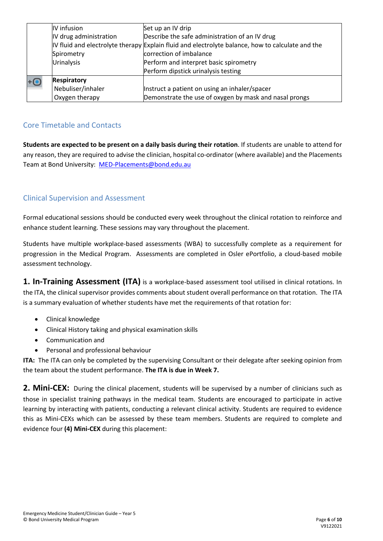| IV infusion            | Set up an IV drip                                                                                |
|------------------------|--------------------------------------------------------------------------------------------------|
| IV drug administration | Describe the safe administration of an IV drug                                                   |
|                        | IV fluid and electrolyte therapy Explain fluid and electrolyte balance, how to calculate and the |
| Spirometry             | correction of imbalance                                                                          |
| <b>Urinalysis</b>      | Perform and interpret basic spirometry                                                           |
|                        | Perform dipstick urinalysis testing                                                              |
| <b>Respiratory</b>     |                                                                                                  |
| Nebuliser/inhaler      | Instruct a patient on using an inhaler/spacer                                                    |
| Oxygen therapy         | Demonstrate the use of oxygen by mask and nasal prongs                                           |

#### Core Timetable and Contacts

**Students are expected to be present on a daily basis during their rotation**. If students are unable to attend for any reason, they are required to advise the clinician, hospital co-ordinator (where available) and the Placements Team at Bond University: [MED-Placements@bond.edu.au](mailto:MED-Placements@bond.edu.au)

#### Clinical Supervision and Assessment

Formal educational sessions should be conducted every week throughout the clinical rotation to reinforce and enhance student learning. These sessions may vary throughout the placement.

Students have multiple workplace-based assessments (WBA) to successfully complete as a requirement for progression in the Medical Program. Assessments are completed in Osler ePortfolio, a cloud-based mobile assessment technology.

**1. In-Training Assessment (ITA)** is a workplace-based assessment tool utilised in clinical rotations. In the ITA, the clinical supervisor provides comments about student overall performance on that rotation. The ITA is a summary evaluation of whether students have met the requirements of that rotation for:

- Clinical knowledge
- Clinical History taking and physical examination skills
- Communication and
- Personal and professional behaviour

**ITA:** The ITA can only be completed by the supervising Consultant or their delegate after seeking opinion from the team about the student performance. **The ITA is due in Week 7.**

2. Mini-CEX: During the clinical placement, students will be supervised by a number of clinicians such as those in specialist training pathways in the medical team. Students are encouraged to participate in active learning by interacting with patients, conducting a relevant clinical activity. Students are required to evidence this as Mini-CEXs which can be assessed by these team members. Students are required to complete and evidence four **(4) Mini-CEX** during this placement: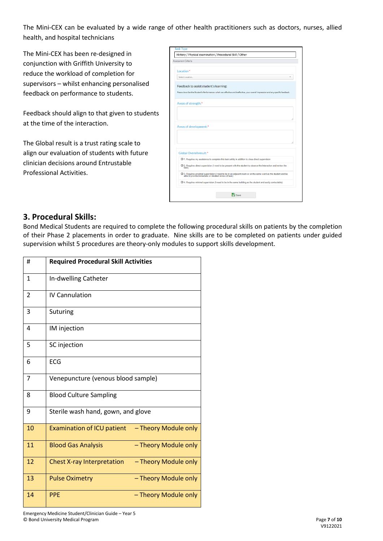The Mini-CEX can be evaluated by a wide range of other health practitioners such as doctors, nurses, allied health, and hospital technicians

The Mini-CEX has been re-designed in conjunction with Griffith University to reduce the workload of completion for supervisors – whilst enhancing personalised feedback on performance to students.

Feedback should align to that given to students at the time of the interaction.

The Global result is a trust rating scale to align our evaluation of students with future clinician decisions around Entrustable Professional Activities.

| Assessment Criteria                    |                                                                                                                                                                         |
|----------------------------------------|-------------------------------------------------------------------------------------------------------------------------------------------------------------------------|
| Location*                              |                                                                                                                                                                         |
| Select Location                        |                                                                                                                                                                         |
| Feedback to assist student's learning: |                                                                                                                                                                         |
|                                        | Please describe the Student's Performance: what was effective and ineffective, your overall impression and any specific feedback.                                       |
| Areas of strength:*                    |                                                                                                                                                                         |
|                                        |                                                                                                                                                                         |
|                                        |                                                                                                                                                                         |
|                                        |                                                                                                                                                                         |
|                                        |                                                                                                                                                                         |
| Areas of development:*                 |                                                                                                                                                                         |
|                                        |                                                                                                                                                                         |
|                                        |                                                                                                                                                                         |
|                                        |                                                                                                                                                                         |
| Global Overall result:*                | O 1. Requires my assistance to complete this task safely in addition to close direct supervision                                                                        |
| task)                                  | O 2. Requires direct supervision (I need to be present with the student to observe the interaction and review the                                                       |
|                                        | O 3. Requires proximal supervision (I need to be in an adjacent room or on the same ward as the student and be<br>able to provide immediate or detailed review of task) |

#### **3. Procedural Skills:**

Bond Medical Students are required to complete the following procedural skills on patients by the completion of their Phase 2 placements in order to graduate. Nine skills are to be completed on patients under guided supervision whilst 5 procedures are theory-only modules to support skills development.

| #              | <b>Required Procedural Skill Activities</b>               |
|----------------|-----------------------------------------------------------|
| $\mathbf{1}$   | In-dwelling Catheter                                      |
| $\overline{2}$ | <b>IV Cannulation</b>                                     |
| 3              | Suturing                                                  |
| 4              | IM injection                                              |
| 5              | SC injection                                              |
| 6              | ECG                                                       |
| 7              | Venepuncture (venous blood sample)                        |
| 8              | <b>Blood Culture Sampling</b>                             |
| 9              | Sterile wash hand, gown, and glove                        |
| 10             | - Theory Module only<br><b>Examination of ICU patient</b> |
| 11             | - Theory Module only<br><b>Blood Gas Analysis</b>         |
| 12             | <b>Chest X-ray Interpretation</b><br>- Theory Module only |
| 13             | - Theory Module only<br><b>Pulse Oximetry</b>             |
| 14             | <b>PPE</b><br>- Theory Module only                        |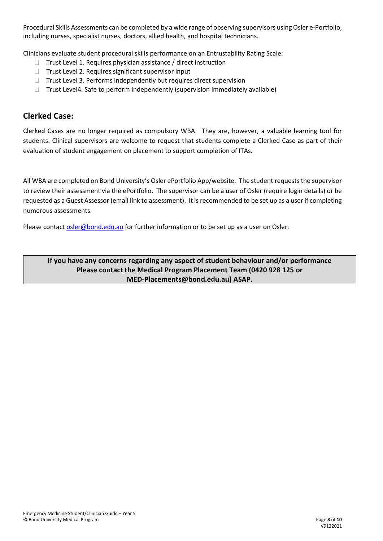Procedural Skills Assessments can be completed by a wide range of observing supervisors using Osler e-Portfolio, including nurses, specialist nurses, doctors, allied health, and hospital technicians.

Clinicians evaluate student procedural skills performance on an Entrustability Rating Scale:

- $\Box$  Trust Level 1. Requires physician assistance / direct instruction
- $\Box$  Trust Level 2. Requires significant supervisor input
- $\Box$  Trust Level 3. Performs independently but requires direct supervision
- $\Box$  Trust Level4. Safe to perform independently (supervision immediately available)

#### **Clerked Case:**

Clerked Cases are no longer required as compulsory WBA. They are, however, a valuable learning tool for students. Clinical supervisors are welcome to request that students complete a Clerked Case as part of their evaluation of student engagement on placement to support completion of ITAs.

All WBA are completed on Bond University's Osler ePortfolio App/website. The student requests the supervisor to review their assessment via the ePortfolio. The supervisor can be a user of Osler (require login details) or be requested as a Guest Assessor (email link to assessment). It is recommended to be set up as a user if completing numerous assessments.

Please contact [osler@bond.edu.au](mailto:osler@bond.edu.au) for further information or to be set up as a user on Osler.

**If you have any concerns regarding any aspect of student behaviour and/or performance Please contact the Medical Program Placement Team (0420 928 125 or MED-Placements@bond.edu.au) ASAP.**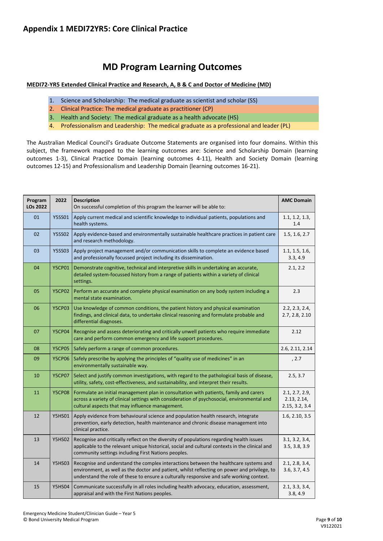#### **MD Program Learning Outcomes**

#### **MEDI72-YR5 Extended Clinical Practice and Research, A, B & C and Doctor of Medicine (MD)**

- 1. Science and Scholarship: The medical graduate as scientist and scholar (SS)
- 2. Clinical Practice: The medical graduate as practitioner (CP)
- 3. Health and Society: The medical graduate as a health advocate (HS)
- 4. Professionalism and Leadership: The medical graduate as a professional and leader (PL)

The Australian Medical Council's Graduate Outcome Statements are organised into four domains. Within this subject, the framework mapped to the learning outcomes are: Science and Scholarship Domain (learning outcomes 1-3), Clinical Practice Domain (learning outcomes 4-11), Health and Society Domain (learning outcomes 12-15) and Professionalism and Leadership Domain (learning outcomes 16-21).

| Program<br><b>LOs 2022</b> | 2022          | <b>Description</b><br>On successful completion of this program the learner will be able to:                                                                                                                                                                                      | <b>AMC Domain</b>                               |
|----------------------------|---------------|----------------------------------------------------------------------------------------------------------------------------------------------------------------------------------------------------------------------------------------------------------------------------------|-------------------------------------------------|
| 01                         | <b>Y5SS01</b> | Apply current medical and scientific knowledge to individual patients, populations and<br>health systems.                                                                                                                                                                        | 1.1, 1.2, 1.3,<br>1.4                           |
| 02                         | <b>Y5SS02</b> | Apply evidence-based and environmentally sustainable healthcare practices in patient care<br>and research methodology.                                                                                                                                                           | 1.5, 1.6, 2.7                                   |
| 03                         | <b>Y5SS03</b> | Apply project management and/or communication skills to complete an evidence based<br>and professionally focussed project including its dissemination.                                                                                                                           | 1.1, 1.5, 1.6,<br>3.3, 4.9                      |
| 04                         | <b>Y5CP01</b> | Demonstrate cognitive, technical and interpretive skills in undertaking an accurate,<br>detailed system-focussed history from a range of patients within a variety of clinical<br>settings.                                                                                      | 2.1, 2.2                                        |
| 05                         | <b>Y5CP02</b> | Perform an accurate and complete physical examination on any body system including a<br>mental state examination.                                                                                                                                                                | 2.3                                             |
| 06                         | <b>Y5CP03</b> | Use knowledge of common conditions, the patient history and physical examination<br>findings, and clinical data, to undertake clinical reasoning and formulate probable and<br>differential diagnoses.                                                                           | 2.2, 2.3, 2.4,<br>2.7, 2.8, 2.10                |
| 07                         | <b>Y5CP04</b> | Recognise and assess deteriorating and critically unwell patients who require immediate<br>care and perform common emergency and life support procedures.                                                                                                                        | 2.12                                            |
| 08                         | <b>Y5CP05</b> | Safely perform a range of common procedures.                                                                                                                                                                                                                                     | 2.6, 2.11, 2.14                                 |
| 09                         | <b>Y5CP06</b> | Safely prescribe by applying the principles of "quality use of medicines" in an<br>environmentally sustainable way.                                                                                                                                                              | , 2.7                                           |
| 10                         | <b>Y5CP07</b> | Select and justify common investigations, with regard to the pathological basis of disease,<br>utility, safety, cost-effectiveness, and sustainability, and interpret their results.                                                                                             | 2.5, 3.7                                        |
| 11                         | <b>Y5CP08</b> | Formulate an initial management plan in consultation with patients, family and carers<br>across a variety of clinical settings with consideration of psychosocial, environmental and<br>cultural aspects that may influence management.                                          | 2.1, 2.7, 2.9,<br>2.13, 2.14,<br>2.15, 3.2, 3.4 |
| 12                         | <b>Y5HS01</b> | Apply evidence from behavioural science and population health research, integrate<br>prevention, early detection, health maintenance and chronic disease management into<br>clinical practice.                                                                                   | 1.6, 2.10, 3.5                                  |
| 13                         | <b>Y5HS02</b> | Recognise and critically reflect on the diversity of populations regarding health issues<br>applicable to the relevant unique historical, social and cultural contexts in the clinical and<br>community settings including First Nations peoples.                                | 3.1, 3.2, 3.4,<br>3.5, 3.8, 3.9                 |
| 14                         | <b>Y5HS03</b> | Recognise and understand the complex interactions between the healthcare systems and<br>environment, as well as the doctor and patient, whilst reflecting on power and privilege, to<br>understand the role of these to ensure a culturally responsive and safe working context. | 2.1, 2.8, 3.4,<br>3.6, 3.7, 4.5                 |
| 15                         | <b>Y5HS04</b> | Communicate successfully in all roles including health advocacy, education, assessment,<br>appraisal and with the First Nations peoples.                                                                                                                                         | 2.1, 3.3, 3.4,<br>3.8, 4.9                      |